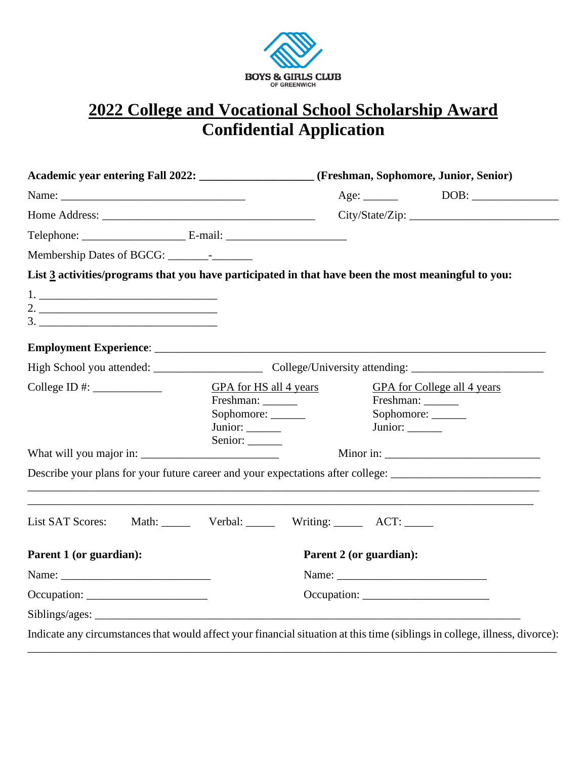

## **2022 College and Vocational School Scholarship Award Confidential Application**

|                                                                                                                             |                                  | Academic year entering Fall 2022: ___________________(Freshman, Sophomore, Junior, Senior) |                                                                                                                |  |
|-----------------------------------------------------------------------------------------------------------------------------|----------------------------------|--------------------------------------------------------------------------------------------|----------------------------------------------------------------------------------------------------------------|--|
|                                                                                                                             |                                  |                                                                                            |                                                                                                                |  |
|                                                                                                                             |                                  | City/State/Zip:                                                                            |                                                                                                                |  |
|                                                                                                                             |                                  |                                                                                            |                                                                                                                |  |
|                                                                                                                             |                                  |                                                                                            |                                                                                                                |  |
| List 3 activities/programs that you have participated in that have been the most meaningful to you:                         |                                  |                                                                                            |                                                                                                                |  |
|                                                                                                                             |                                  |                                                                                            |                                                                                                                |  |
|                                                                                                                             |                                  |                                                                                            |                                                                                                                |  |
|                                                                                                                             |                                  |                                                                                            |                                                                                                                |  |
|                                                                                                                             |                                  |                                                                                            |                                                                                                                |  |
|                                                                                                                             |                                  |                                                                                            |                                                                                                                |  |
| College ID #: $\_\_\_\_\_\_\_\_\_\_\_\_\_\_\_\_\_\_\_\_$                                                                    | GPA for HS all 4 years           |                                                                                            | GPA for College all 4 years                                                                                    |  |
|                                                                                                                             | Freshman: ________               |                                                                                            | Freshman: _______                                                                                              |  |
|                                                                                                                             | Sophomore:                       |                                                                                            | Sophomore:                                                                                                     |  |
|                                                                                                                             | Junior: ______                   |                                                                                            | Junior: ______                                                                                                 |  |
|                                                                                                                             | Senior: ______                   |                                                                                            |                                                                                                                |  |
|                                                                                                                             |                                  |                                                                                            |                                                                                                                |  |
|                                                                                                                             |                                  |                                                                                            | Describe your plans for your future career and your expectations after college: ______________________________ |  |
|                                                                                                                             |                                  |                                                                                            |                                                                                                                |  |
| <b>List SAT Scores:</b>                                                                                                     | Math: Verbal: Writing: ACT: ____ |                                                                                            |                                                                                                                |  |
|                                                                                                                             |                                  |                                                                                            |                                                                                                                |  |
| Parent 1 (or guardian):                                                                                                     |                                  | Parent 2 (or guardian):                                                                    |                                                                                                                |  |
|                                                                                                                             |                                  |                                                                                            |                                                                                                                |  |
| Occupation:                                                                                                                 |                                  |                                                                                            |                                                                                                                |  |
|                                                                                                                             |                                  |                                                                                            |                                                                                                                |  |
| Indicate any circumstances that would affect your financial situation at this time (siblings in college, illness, divorce): |                                  |                                                                                            |                                                                                                                |  |